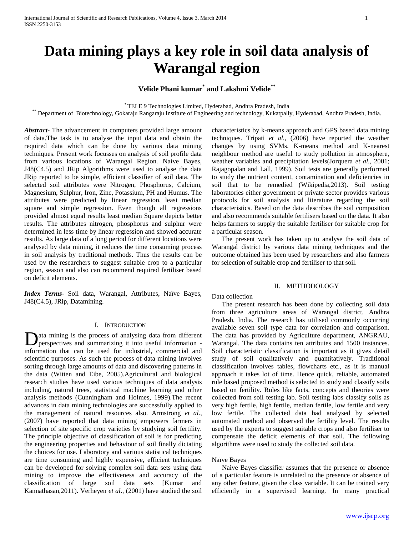# **Data mining plays a key role in soil data analysis of Warangal region**

# **Velide Phani kumar\* and Lakshmi Velide\*\***

\* TELE 9 Technologies Limited, Hyderabad, Andhra Pradesh, India

\*\* Department of Biotechnology, Gokaraju Rangaraju Institute of Engineering and technology, Kukatpally, Hyderabad, Andhra Pradesh, India.

*Abstract***-** The advancement in computers provided large amount of data.The task is to analyse the input data and obtain the required data which can be done by various data mining techniques. Present work focusses on analysis of soil profile data from various locations of Warangal Region. Naive Bayes, J48(C4.5) and JRip Algorithms were used to analyse the data JRip reported to be simple, efficient classifier of soil data. The selected soil attributes were Nitrogen, Phosphorus, Calcium, Magnesium, Sulphur, Iron, Zinc, Potassium, PH and Humus. The attributes were predicted by linear regression, least median square and simple regression. Even though all regressions provided almost equal results least median Square depicts better results. The attributes nitrogen, phosphorus and sulphur were determined in less time by linear regression and showed accurate results. As large data of a long period for different locations were analysed by data mining, it reduces the time consuming process in soil analysis by traditional methods. Thus the results can be used by the researchers to suggest suitable crop to a particular region, season and also can recommend required fertiliser based on deficit elements.

*Index Terms*- Soil data, Warangal, Attributes, Naïve Bayes, J48(C4.5), JRip, Datamining.

## I. INTRODUCTION

ata mining is the process of analysing data from different **D**ata mining is the process of analysing data from different perspectives and summarizing it into useful information information that can be used for industrial, commercial and scientific purposes. As such the process of data mining involves sorting through large amounts of data and discovering patterns in the data (Witten and Eibe, 2005).Agricultural and biological research studies have used various techniques of data analysis including, natural trees, statistical machine learning and other analysis methods (Cunningham and Holmes, 1999).The recent advances in data mining technologies are successfully applied to the management of natural resources also. Armstrong *et al*., (2007) have reported that data mining empowers farmers in selection of site specific crop varieties by studying soil fertility. The principle objective of classification of soil is for predicting the engineering properties and behaviour of soil finally dictating the choices for use. Laboratory and various statistical techniques are time consuming and highly expensive, efficient techniques can be developed for solving complex soil data sets using data mining to improve the effectiveness and accuracy of the classification of large soil data sets [Kumar and Kannathasan,2011). Verheyen *et al*., (2001) have studied the soil

characteristics by k-means approach and GPS based data mining techniques. Tripati *et al.,* (2006) have reported the weather changes by using SVMs. K-means method and K-nearest neighbour method are useful to study pollution in atmosphere, weather variables and precipitation levels(Jorquera *et al.,* 2001; Rajagopalan and Lall, 1999). Soil tests are generally performed to study the nutrient content, contamination and deficiencies in soil that to be remedied (Wikipedia,2013). Soil testing laboratories either government or private sector provides various protocols for soil analysis and literature regarding the soil characteristics. Based on the data describes the soil composition and also recommends suitable fertilisers based on the data. It also helps farmers to supply the suitable fertiliser for suitable crop for a particular season.

 The present work has taken up to analyse the soil data of Warangal district by various data mining techniques and the outcome obtained has been used by researchers and also farmers for selection of suitable crop and fertiliser to that soil.

## II. METHODOLOGY

#### Data collection

 The present research has been done by collecting soil data from three agriculture areas of Warangal district, Andhra Pradesh, India. The research has utilised commonly occurring available seven soil type data for correlation and comparison. The data has provided by Agriculture department, ANGRAU, Warangal. The data contains ten attributes and 1500 instances. Soil characteristic classification is important as it gives detail study of soil qualitatively and quantitatively. Traditional classification involves tables, flowcharts etc., as it is manual approach it takes lot of time. Hence quick, reliable, automated rule based proposed method is selected to study and classify soils based on fertility. Rules like facts, concepts and theories were collected from soil testing lab. Soil testing labs classify soils as very high fertile, high fertile, median fertile, low fertile and very low fertile. The collected data had analysed by selected automated method and observed the fertility level. The results used by the experts to suggest suitable crops and also fertiliser to compensate the deficit elements of that soil. The following algorithms were used to study the collected soil data.

## Naïve Bayes

 Naive Bayes classifier assumes that the presence or absence of a particular feature is unrelated to the presence or absence of any other feature, given the class variable. It can be trained very efficiently in a supervised learning. In many practical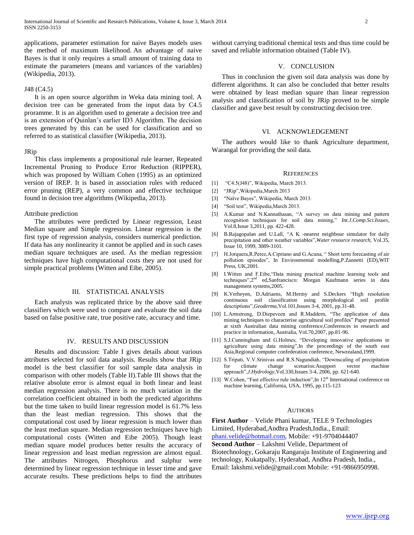applications, parameter estimation for naive Bayes models uses the method of maximum likelihood. An advantage of naive Bayes is that it only requires a small amount of training data to estimate the parameters (means and variances of the variables) (Wikipedia, 2013).

#### J48 (C4.5)

 It is an open source algorithm in Weka data mining tool. A decision tree can be generated from the input data by C4.5 proramme. It is an algorithm used to generate a decision tree and is an extension of Quinlan's earlier ID3 Algorithm. The decision trees generated by this can be used for classification and so referred to as statistical classifier (Wikipedia, 2013).

#### JRip

 This class implements a propositional rule learner, Repeated Incremental Pruning to Produce Error Reduction (RIPPER), which was proposed by William Cohen (1995) as an optimized version of IREP. It is based in association rules with reduced error pruning (REP), a very common and effective technique found in decision tree algorithms (Wikipedia, 2013).

#### Attribute prediction

 The attributes were predicted by Linear regression, Least Median square and Simple regression. Linear regression is the first type of regression analysis, considers numerical prediction. If data has any nonlinearity it cannot be applied and in such cases median square techniques are used. As the median regression techniques have high computational costs they are not used for simple practical problems (Witten and Eibe, 2005).

## III. STATISTICAL ANALYSIS

 Each analysis was replicated thrice by the above said three classifiers which were used to compare and evaluate the soil data based on false positive rate, true positive rate, accuracy and time.

## IV. RESULTS AND DISCUSSION

 Results and discussion: Table I gives details about various attributes selected for soil data analysis. Results show that JRip model is the best classifier for soil sample data analysis in comparison with other models (Table II).Table III shows that the relative absolute error is almost equal in both linear and least median regression analysis. There is no much variation in the correlation coefficient obtained in both the predicted algorithms but the time taken to build linear regression model is 61.7% less than the least median regression. This shows that the computational cost used by linear regression is much lower than the least median square. Median regression techniques have high computational costs (Witten and Eibe 2005). Though least median square model produces better results the accuracy of linear regression and least median regression are almost equal. The attributes Nitrogen, Phosphorus and sulphur were determined by linear regression technique in lesser time and gave accurate results. These predictions helps to find the attributes

without carrying traditional chemical tests and thus time could be saved and reliable information obtained (Table IV).

## V. CONCLUSION

 Thus in conclusion the given soil data analysis was done by different algorithms. It can also be concluded that better results were obtained by least median square than linear regression analysis and classification of soil by JRip proved to be simple classifier and gave best result by constructing decision tree.

#### VI. ACKNOWLEDGEMENT

 The authors would like to thank Agriculture department, Warangal for providing the soil data.

#### **REFERENCES**

- [1] "C4.5(J48)", Wikipedia, March 2013.
- [2] "JRip",Wikipedia,March 2013
- [3] "Naïve Bayes", Wikipedia, March 2013.
- [4] "Soil test", Wikipedia,March 2013.
- [5] A.Kumar and N.Kannathasan, "A survey on data mining and pattern recognition techniques for soil data mining," *Int.J.Comp.Sci.Issues*, Vol.8,Issue 3,2011, pp. 422-428.
- [6] B.Rajagopalan and U.Lall, "A K -nearest neighbour simulator for daily precipitation and other weather variables",*Water resource research,* Vol.35, Issue 10, 1999, 3089-3101.
- [7] H.Jorquera,R.Perez,A.Cipriano and G.Acuna, " Short term forecasting of air pollution episodes", In Environmental modelling,P.Zannetti (ED),WIT Press, UK,2001.
- [8] I.Witten and F.Eibe,"Data mining practical machine learning tools and techniques",2nd ed,Sanfrancisco: Morgan Kaufmann series in data management systems,2005.
- [9] K.Verheyen, D.Adriaens, M.Hermy and S.Deckers "High resolution continuous soil classification using morphological soil profile descriptions",*Geoderma,*Vol.101,Issues 3-4, 2001, pp.31-48.
- [10] L.Armstrong, D.Diepeveen and R.Maddern, "The application of data mining techniques to characterise agricultural soil profiles" Paper presented at sixth Australian data mining conference,Conferences in research and practice in information, Australia, Vol.70,2007, pp.81-96.
- [11] S.J.Cunningham and G.Holmes, "Developing innovative applications in agriculture using data mining",In the proceedings of the south east Asia,Regional computer confederation conference, Newzealand,1999.
- [12] S.Tripati, V.V.Srinivas and R.S.Nagundiah, "Downscaling of precipitation for climate change scenarios:Asupport vector machine approach",*J.Hydrology*,Vol.330,Issues 3-4, 2006, pp. 621-640.
- [13] W.Cohen, "Fast effective rule induction", In 12<sup>th</sup> International conference on machine learning, California, USA, 1995, pp.115-123

#### **AUTHORS**

**First Author** – Velide Phani kumar, TELE 9 Technologies Limited, Hyderabad,Andhra Pradesh,India., Email: [phani.velide@hotmail.com,](mailto:phani.velide@hotmail.com) Mobile: +91-9704044407 **Second Author** – Lakshmi Velide, Department of Biotechnology, Gokaraju Rangaraju Institute of Engineering and technology, Kukatpally, Hyderabad, Andhra Pradesh, India., Email: lakshmi.velide@gmail.com Mobile: +91-9866950998.